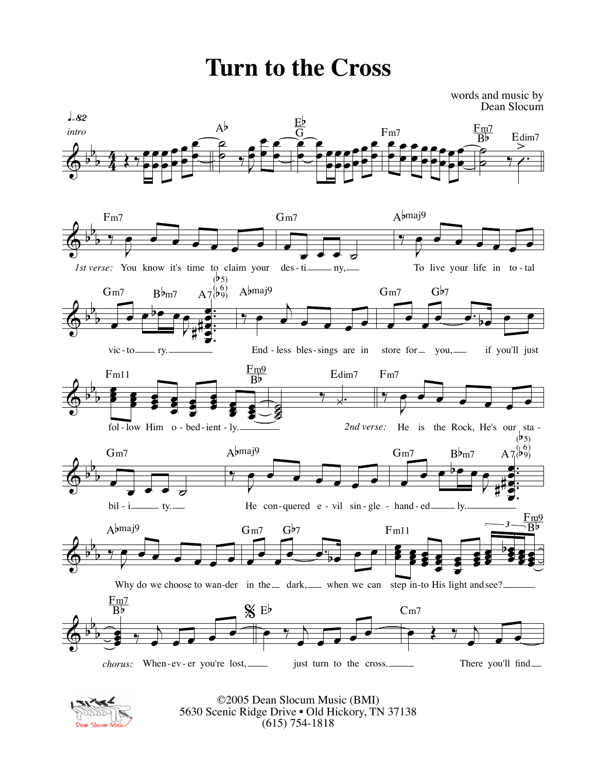## **Turn to the Cross**

words and music by Dean Slocum





©2005 Dean Slocum Music (BMI) 5630 Scenic Ridge Drive • Old Hickory, TN 37138 (615) 754-1818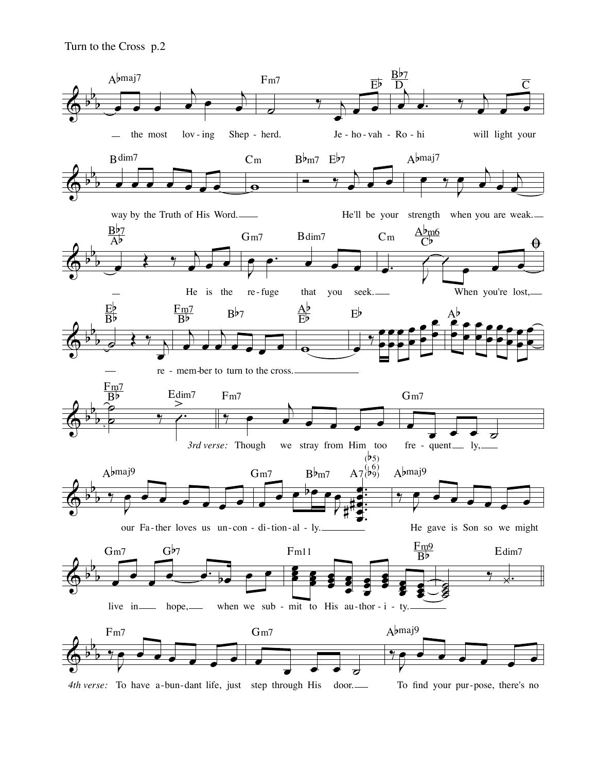Turn to the Cross p.2